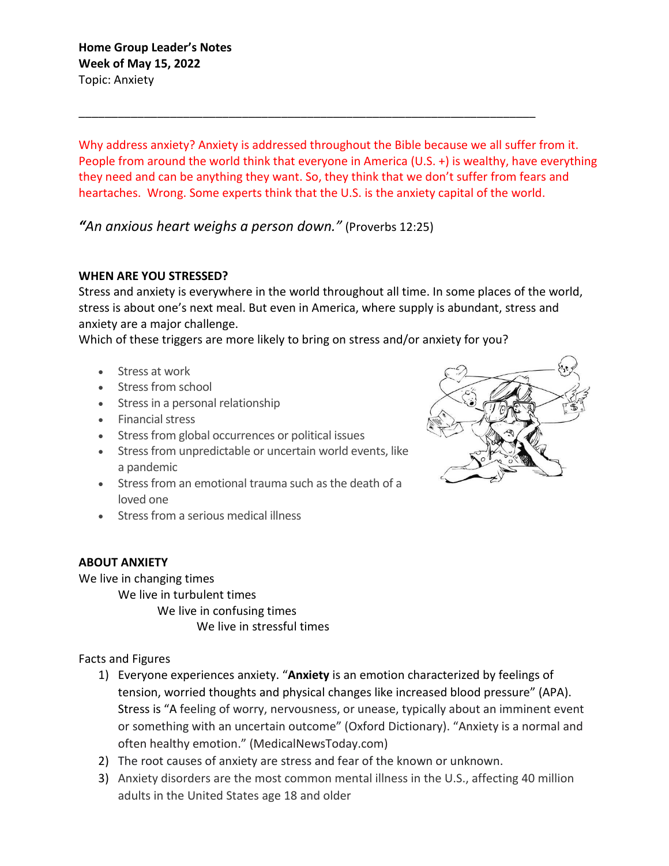Why address anxiety? Anxiety is addressed throughout the Bible because we all suffer from it. People from around the world think that everyone in America (U.S. +) is wealthy, have everything they need and can be anything they want. So, they think that we don't suffer from fears and heartaches. Wrong. Some experts think that the U.S. is the anxiety capital of the world.

\_\_\_\_\_\_\_\_\_\_\_\_\_\_\_\_\_\_\_\_\_\_\_\_\_\_\_\_\_\_\_\_\_\_\_\_\_\_\_\_\_\_\_\_\_\_\_\_\_\_\_\_\_\_\_\_\_\_\_\_\_\_\_\_\_\_\_\_\_\_

*"An anxious heart weighs a person down."* (Proverbs 12:25)

## **WHEN ARE YOU STRESSED?**

Stress and anxiety is everywhere in the world throughout all time. In some places of the world, stress is about one's next meal. But even in America, where supply is abundant, stress and anxiety are a major challenge.

Which of these triggers are more likely to bring on stress and/or anxiety for you?

- Stress at work
- Stress from school
- Stress in a personal relationship
- Financial stress
- Stress from global occurrences or political issues
- Stress from unpredictable or uncertain world events, like a pandemic
- Stress from an emotional trauma such as the death of a loved one
- Stress from a serious medical illness

## **ABOUT ANXIETY**

We live in changing times

We live in turbulent times

We live in confusing times We live in stressful times

Facts and Figures

- 1) Everyone experiences anxiety. "**Anxiety** is an emotion characterized by feelings of tension, worried thoughts and physical changes like increased blood pressure" (APA). Stress is "A feeling of worry, nervousness, or unease, typically about an imminent event or something with an uncertain outcome" (Oxford Dictionary). "Anxiety is a normal and often healthy emotion." (MedicalNewsToday.com)
- 2) The root causes of anxiety are stress and fear of the known or unknown.
- 3) Anxiety disorders are the most common mental illness in the U.S., affecting 40 million adults in the United States age 18 and older

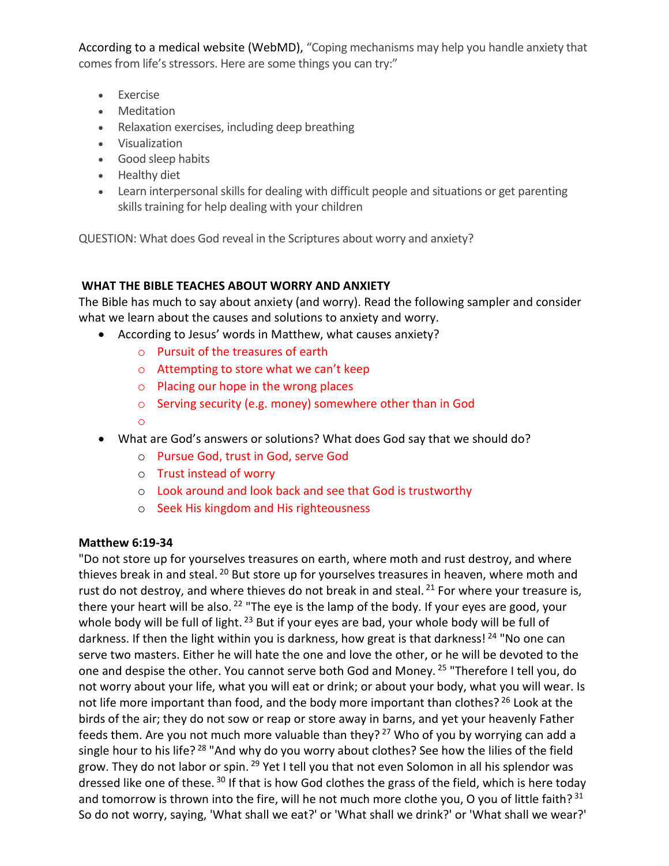According to a medical website (WebMD), "Coping mechanisms may help you handle anxiety that comes from life's stressors. Here are some things you can try:"

- Exercise
- Meditation
- Relaxation exercises, including deep breathing
- Visualization
- Good sleep habits
- Healthy diet
- Learn interpersonal skills for dealing with difficult people and situations or get parenting skills training for help dealing with your children

QUESTION: What does God reveal in the Scriptures about worry and anxiety?

# **WHAT THE BIBLE TEACHES ABOUT WORRY AND ANXIETY**

The Bible has much to say about anxiety (and worry). Read the following sampler and consider what we learn about the causes and solutions to anxiety and worry.

- According to Jesus' words in Matthew, what causes anxiety?
	- o Pursuit of the treasures of earth
	- o Attempting to store what we can't keep
	- o Placing our hope in the wrong places
	- o Serving security (e.g. money) somewhere other than in God
	- o
- What are God's answers or solutions? What does God say that we should do?
	- o Pursue God, trust in God, serve God
	- o Trust instead of worry
	- o Look around and look back and see that God is trustworthy
	- o Seek His kingdom and His righteousness

## **Matthew 6:19-34**

"Do not store up for yourselves treasures on earth, where moth and rust destroy, and where thieves break in and steal.<sup>20</sup> But store up for yourselves treasures in heaven, where moth and rust do not destroy, and where thieves do not break in and steal. <sup>21</sup> For where your treasure is, there your heart will be also.  $22$  "The eye is the lamp of the body. If your eyes are good, your whole body will be full of light. <sup>23</sup> But if your eyes are bad, your whole body will be full of darkness. If then the light within you is darkness, how great is that darkness! <sup>24</sup> "No one can serve two masters. Either he will hate the one and love the other, or he will be devoted to the one and despise the other. You cannot serve both God and Money. <sup>25</sup> "Therefore I tell you, do not worry about your life, what you will eat or drink; or about your body, what you will wear. Is not life more important than food, and the body more important than clothes? <sup>26</sup> Look at the birds of the air; they do not sow or reap or store away in barns, and yet your heavenly Father feeds them. Are you not much more valuable than they?  $27$  Who of you by worrying can add a single hour to his life?<sup>28</sup> "And why do you worry about clothes? See how the lilies of the field grow. They do not labor or spin. <sup>29</sup> Yet I tell you that not even Solomon in all his splendor was dressed like one of these.<sup>30</sup> If that is how God clothes the grass of the field, which is here today and tomorrow is thrown into the fire, will he not much more clothe you, O you of little faith?  $31$ So do not worry, saying, 'What shall we eat?' or 'What shall we drink?' or 'What shall we wear?'